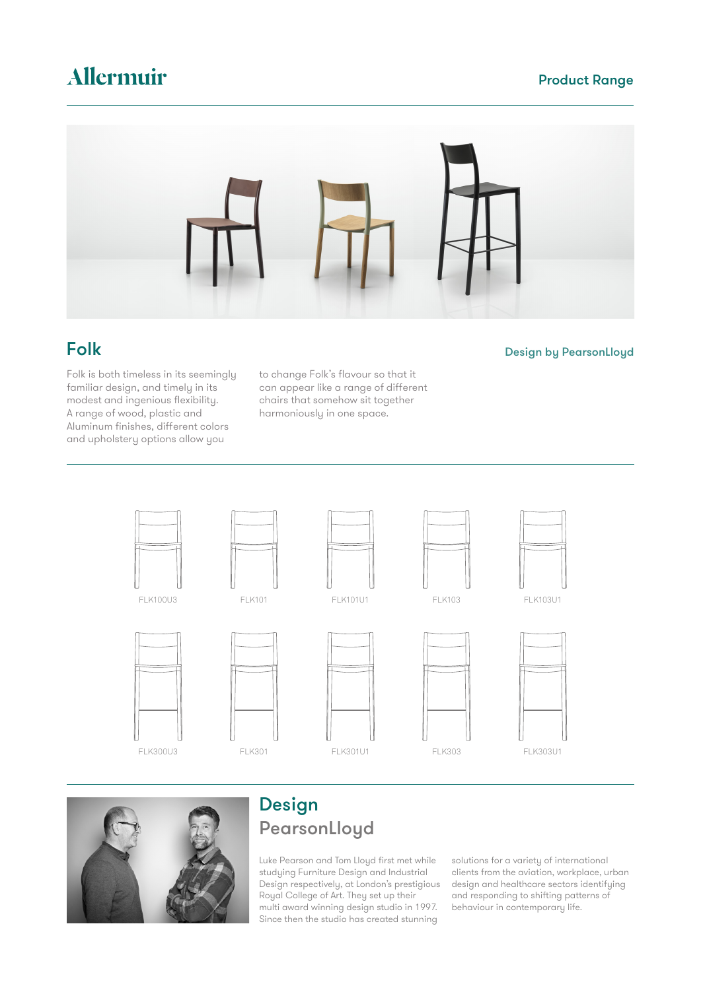# Allermuir

## Product Range



## Folk

Folk is both timeless in its seemingly familiar design, and timely in its modest and ingenious flexibility. A range of wood, plastic and Aluminum finishes, different colors and upholstery options allow you

to change Folk's flavour so that it can appear like a range of different chairs that somehow sit together harmoniously in one space.





# Design **PearsonLloyd**

Luke Pearson and Tom Lloyd first met while studying Furniture Design and Industrial Design respectively, at London's prestigious Royal College of Art. They set up their multi award winning design studio in 1997. Since then the studio has created stunning

solutions for a variety of international clients from the aviation, workplace, urban design and healthcare sectors identifying and responding to shifting patterns of behaviour in contemporary life.

Design by PearsonLloyd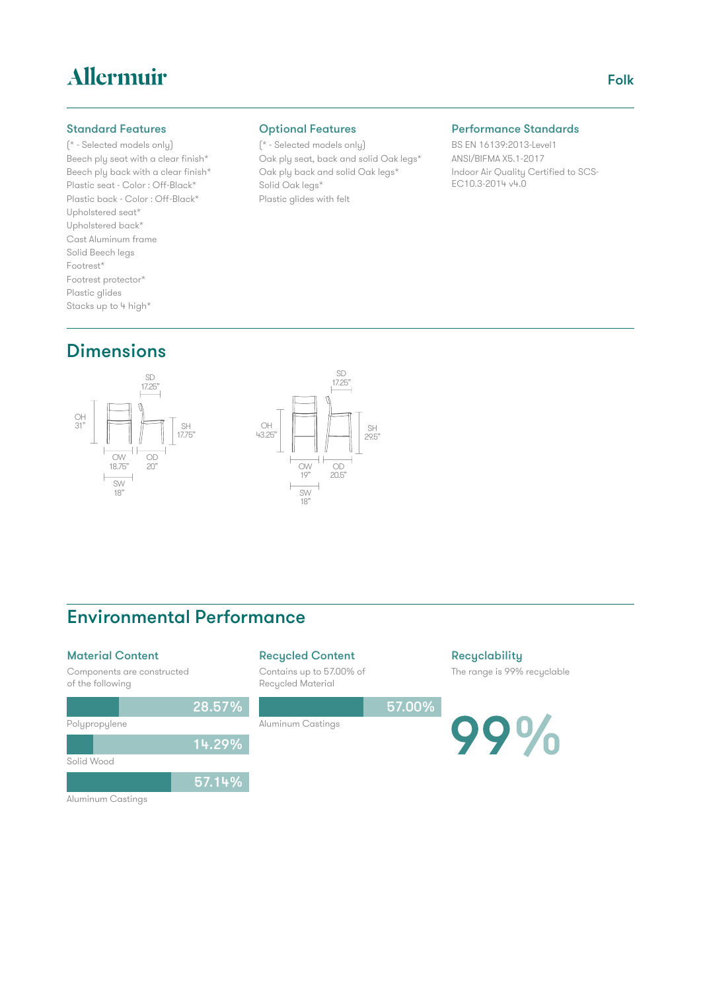# Allermuir

#### Standard Features

#### (\* - Selected models only) Beech ply seat with a clear finish\* Beech ply back with a clear finish\* Plastic seat - Color : Off-Black\* Plastic back - Color : Off-Black\* Upholstered seat\* Upholstered back\* Cast Aluminum frame Solid Beech legs Footrest\* Footrest protector\* Plastic glides Stacks up to 4 high\*

# **Dimensions**





# Environmental Performance

28.57%

14.29%

57.14%

### Material Content

Components are constructed of the following

### Recycled Content

Aluminum Castings

Contains up to 57.00% of Recycled Material



**Recyclability** The range is 99% recyclable

99%

Aluminum Castings

Polypropylene

Solid Wood

### Optional Features

(\* - Selected models only) Oak ply seat, back and solid Oak legs\* Oak ply back and solid Oak legs\* Solid Oak legs\* Plastic glides with felt

#### Performance Standards

BS EN 16139:2013-Level1 ANSI/BIFMA X5.1-2017 Indoor Air Quality Certified to SCS-EC10.3-2014 v4.0